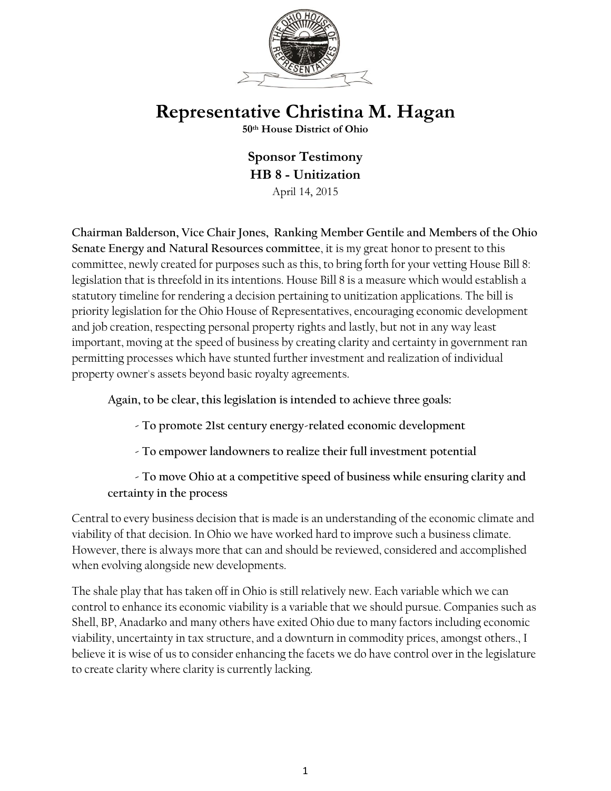

## **Representative Christina M. Hagan**

**50th House District of Ohio**

**Sponsor Testimony HB 8 - Unitization** April 14, 2015

**Chairman Balderson, Vice Chair Jones, Ranking Member Gentile and Members of the Ohio Senate Energy and Natural Resources committee**, it is my great honor to present to this committee, newly created for purposes such as this, to bring forth for your vetting House Bill 8: legislation that is threefold in its intentions. House Bill 8 is a measure which would establish a statutory timeline for rendering a decision pertaining to unitization applications. The bill is priority legislation for the Ohio House of Representatives, encouraging economic development and job creation, respecting personal property rights and lastly, but not in any way least important, moving at the speed of business by creating clarity and certainty in government ran permitting processes which have stunted further investment and realization of individual property owner's assets beyond basic royalty agreements.

**Again, to be clear, this legislation is intended to achieve three goals:**

 **- To promote 21st century energy-related economic development**

 **- To empower landowners to realize their full investment potential**

 **- To move Ohio at a competitive speed of business while ensuring clarity and certainty in the process**

Central to every business decision that is made is an understanding of the economic climate and viability of that decision. In Ohio we have worked hard to improve such a business climate. However, there is always more that can and should be reviewed, considered and accomplished when evolving alongside new developments.

The shale play that has taken off in Ohio is still relatively new. Each variable which we can control to enhance its economic viability is a variable that we should pursue. Companies such as Shell, BP, Anadarko and many others have exited Ohio due to many factors including economic viability, uncertainty in tax structure, and a downturn in commodity prices, amongst others., I believe it is wise of us to consider enhancing the facets we do have control over in the legislature to create clarity where clarity is currently lacking.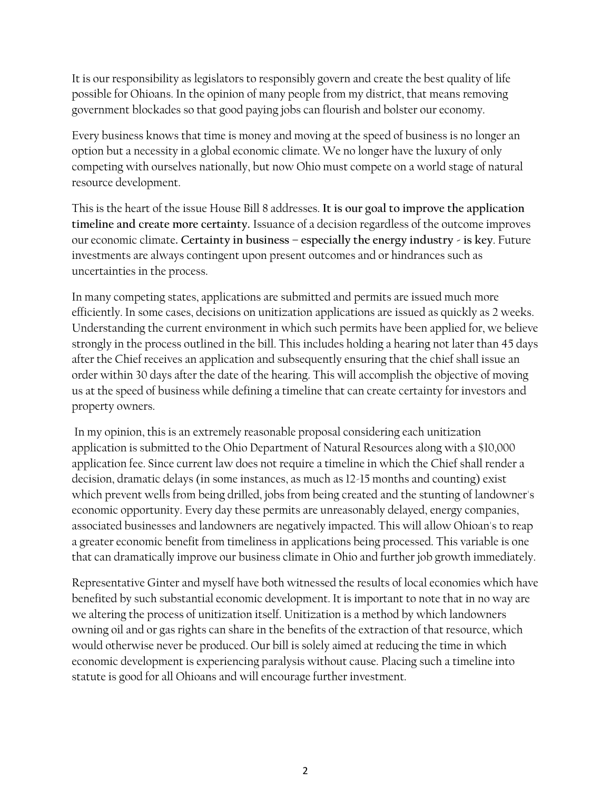It is our responsibility as legislators to responsibly govern and create the best quality of life possible for Ohioans. In the opinion of many people from my district, that means removing government blockades so that good paying jobs can flourish and bolster our economy.

Every business knows that time is money and moving at the speed of business is no longer an option but a necessity in a global economic climate. We no longer have the luxury of only competing with ourselves nationally, but now Ohio must compete on a world stage of natural resource development.

This is the heart of the issue House Bill 8 addresses. **It is our goal to improve the application timeline and create more certainty.** Issuance of a decision regardless of the outcome improves our economic climate**. Certainty in business – especially the energy industry - is key**. Future investments are always contingent upon present outcomes and or hindrances such as uncertainties in the process.

In many competing states, applications are submitted and permits are issued much more efficiently. In some cases, decisions on unitization applications are issued as quickly as 2 weeks. Understanding the current environment in which such permits have been applied for, we believe strongly in the process outlined in the bill. This includes holding a hearing not later than 45 days after the Chief receives an application and subsequently ensuring that the chief shall issue an order within 30 days after the date of the hearing. This will accomplish the objective of moving us at the speed of business while defining a timeline that can create certainty for investors and property owners.

In my opinion, this is an extremely reasonable proposal considering each unitization application is submitted to the Ohio Department of Natural Resources along with a \$10,000 application fee. Since current law does not require a timeline in which the Chief shall render a decision, dramatic delays (in some instances, as much as 12-15 months and counting) exist which prevent wells from being drilled, jobs from being created and the stunting of landowner's economic opportunity. Every day these permits are unreasonably delayed, energy companies, associated businesses and landowners are negatively impacted. This will allow Ohioan's to reap a greater economic benefit from timeliness in applications being processed. This variable is one that can dramatically improve our business climate in Ohio and further job growth immediately.

Representative Ginter and myself have both witnessed the results of local economies which have benefited by such substantial economic development. It is important to note that in no way are we altering the process of unitization itself. Unitization is a method by which landowners owning oil and or gas rights can share in the benefits of the extraction of that resource, which would otherwise never be produced. Our bill is solely aimed at reducing the time in which economic development is experiencing paralysis without cause. Placing such a timeline into statute is good for all Ohioans and will encourage further investment.